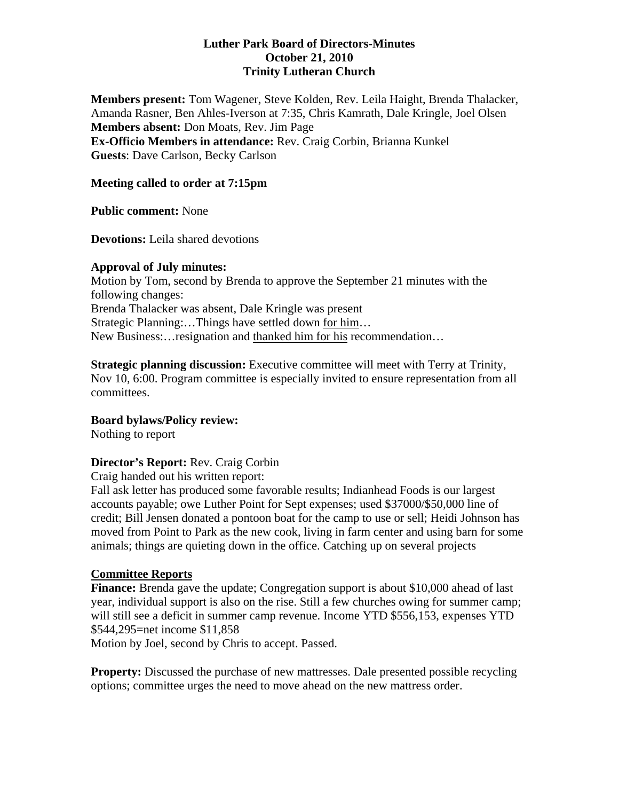# **Luther Park Board of Directors-Minutes October 21, 2010 Trinity Lutheran Church**

**Members present:** Tom Wagener, Steve Kolden, Rev. Leila Haight, Brenda Thalacker, Amanda Rasner, Ben Ahles-Iverson at 7:35, Chris Kamrath, Dale Kringle, Joel Olsen **Members absent:** Don Moats, Rev. Jim Page **Ex-Officio Members in attendance:** Rev. Craig Corbin, Brianna Kunkel **Guests**: Dave Carlson, Becky Carlson

### **Meeting called to order at 7:15pm**

**Public comment:** None

**Devotions:** Leila shared devotions

### **Approval of July minutes:**

Motion by Tom, second by Brenda to approve the September 21 minutes with the following changes: Brenda Thalacker was absent, Dale Kringle was present Strategic Planning:…Things have settled down for him… New Business:…resignation and thanked him for his recommendation…

**Strategic planning discussion:** Executive committee will meet with Terry at Trinity, Nov 10, 6:00. Program committee is especially invited to ensure representation from all committees.

### **Board bylaws/Policy review:**

Nothing to report

### **Director's Report:** Rev. Craig Corbin

Craig handed out his written report:

Fall ask letter has produced some favorable results; Indianhead Foods is our largest accounts payable; owe Luther Point for Sept expenses; used \$37000/\$50,000 line of credit; Bill Jensen donated a pontoon boat for the camp to use or sell; Heidi Johnson has moved from Point to Park as the new cook, living in farm center and using barn for some animals; things are quieting down in the office. Catching up on several projects

### **Committee Reports**

**Finance:** Brenda gave the update; Congregation support is about \$10,000 ahead of last year, individual support is also on the rise. Still a few churches owing for summer camp; will still see a deficit in summer camp revenue. Income YTD \$556,153, expenses YTD \$544,295=net income \$11,858

Motion by Joel, second by Chris to accept. Passed.

**Property:** Discussed the purchase of new mattresses. Dale presented possible recycling options; committee urges the need to move ahead on the new mattress order.